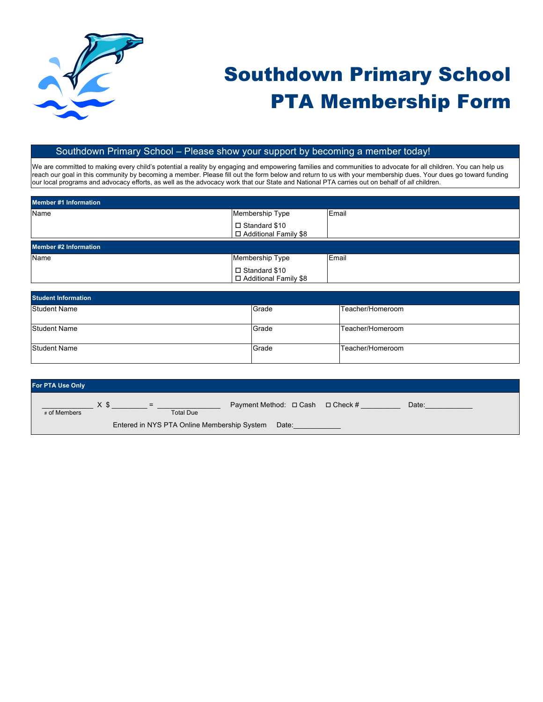

## Southdown Primary School PTA Membership Form

## Southdown Primary School – Please show your support by becoming a member today!

We are committed to making every child's potential a reality by engaging and empowering families and communities to advocate for all children. You can help us reach our goal in this community by becoming a member. Please fill out the form below and return to us with your membership dues. Your dues go toward funding our local programs and advocacy efforts, as well as the advocacy work that our State and National PTA carries out on behalf of *all* children.

| <b>Member #1 Information</b> |                                            |       |  |
|------------------------------|--------------------------------------------|-------|--|
| Name                         | Membership Type                            | Email |  |
|                              | $\square$ Standard \$10                    |       |  |
|                              | □ Additional Family \$8                    |       |  |
|                              |                                            |       |  |
| <b>Member #2 Information</b> |                                            |       |  |
| Name                         | Membership Type                            | Email |  |
|                              | □ Standard \$10<br>□ Additional Family \$8 |       |  |

| <b>Student Information</b> |       |                  |  |
|----------------------------|-------|------------------|--|
| Student Name               | Grade | Teacher/Homeroom |  |
| Student Name               | Grade | Teacher/Homeroom |  |
| Student Name               | Grade | Teacher/Homeroom |  |

| <b>For PTA Use Only</b>                              |      |                         |                                  |  |       |
|------------------------------------------------------|------|-------------------------|----------------------------------|--|-------|
| # of Members                                         | X \$ | $=$<br><b>Total Due</b> | Payment Method: □ Cash □ Check # |  | Date: |
| Entered in NYS PTA Online Membership System<br>Date: |      |                         |                                  |  |       |